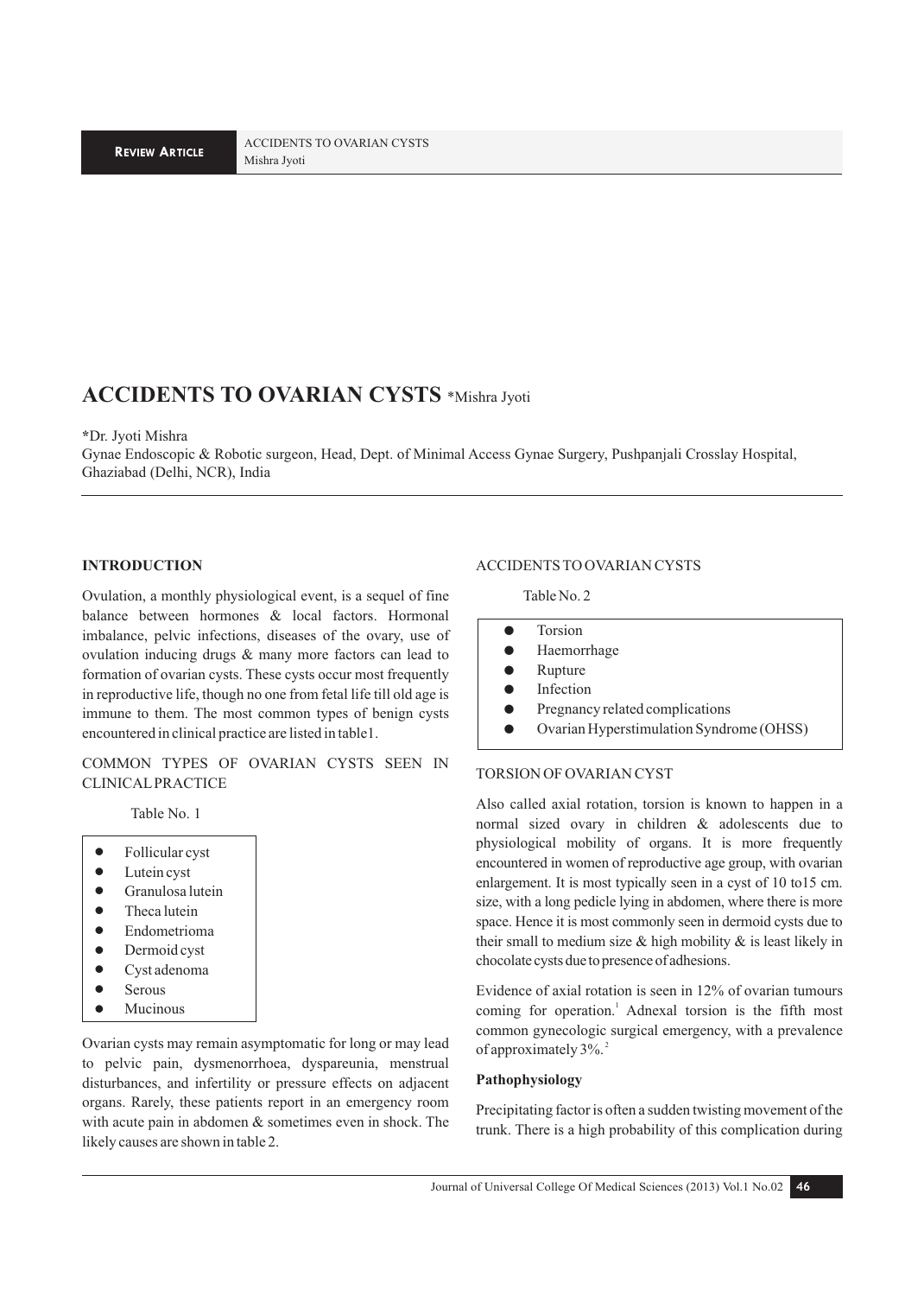ACCIDENTS TO OVARIAN CYSTS Mishra Jyoti

# **ACCIDENTS TO OVARIAN CYSTS** \*Mishra Jyoti

#### **\***Dr. Jyoti Mishra

Gynae Endoscopic & Robotic surgeon, Head, Dept. of Minimal Access Gynae Surgery, Pushpanjali Crosslay Hospital, Ghaziabad (Delhi, NCR), India

#### **INTRODUCTION**

Ovulation, a monthly physiological event, is a sequel of fine balance between hormones & local factors. Hormonal imbalance, pelvic infections, diseases of the ovary, use of ovulation inducing drugs & many more factors can lead to formation of ovarian cysts. These cysts occur most frequently in reproductive life, though no one from fetal life till old age is immune to them. The most common types of benign cysts encountered in clinical practice are listed in table1.

COMMON TYPES OF OVARIAN CYSTS SEEN IN CLINICAL PRACTICE

Table No. 1

- Follicular cyst
- Lutein cyst
- **•** Granulosa lutein
- Theca lutein
- **·** Endometrioma
- Dermoid cyst
- $\bullet$  Cyst adenoma
- Serous
- **Mucinous**

Ovarian cysts may remain asymptomatic for long or may lead to pelvic pain, dysmenorrhoea, dyspareunia, menstrual disturbances, and infertility or pressure effects on adjacent organs. Rarely, these patients report in an emergency room with acute pain in abdomen & sometimes even in shock. The likely causes are shown in table 2.

#### ACCIDENTS TO OVARIAN CYSTS

Table No. 2

- **•** Torsion
- **•** Haemorrhage
- Rupture
- **•** Infection
- Pregnancy related complications
- ! Ovarian Hyperstimulation Syndrome (OHSS)

## TORSION OF OVARIAN CYST

Also called axial rotation, torsion is known to happen in a normal sized ovary in children & adolescents due to physiological mobility of organs. It is more frequently encountered in women of reproductive age group, with ovarian enlargement. It is most typically seen in a cyst of 10 to15 cm. size, with a long pedicle lying in abdomen, where there is more space. Hence it is most commonly seen in dermoid cysts due to their small to medium size  $\&$  high mobility  $\&$  is least likely in chocolate cysts due to presence of adhesions.

Evidence of axial rotation is seen in 12% of ovarian tumours coming for operation.<sup>1</sup> Adnexal torsion is the fifth most common gynecologic surgical emergency, with a prevalence of approximately  $3\%$ .

#### **Pathophysiology**

Precipitating factor is often a sudden twisting movement of the trunk. There is a high probability of this complication during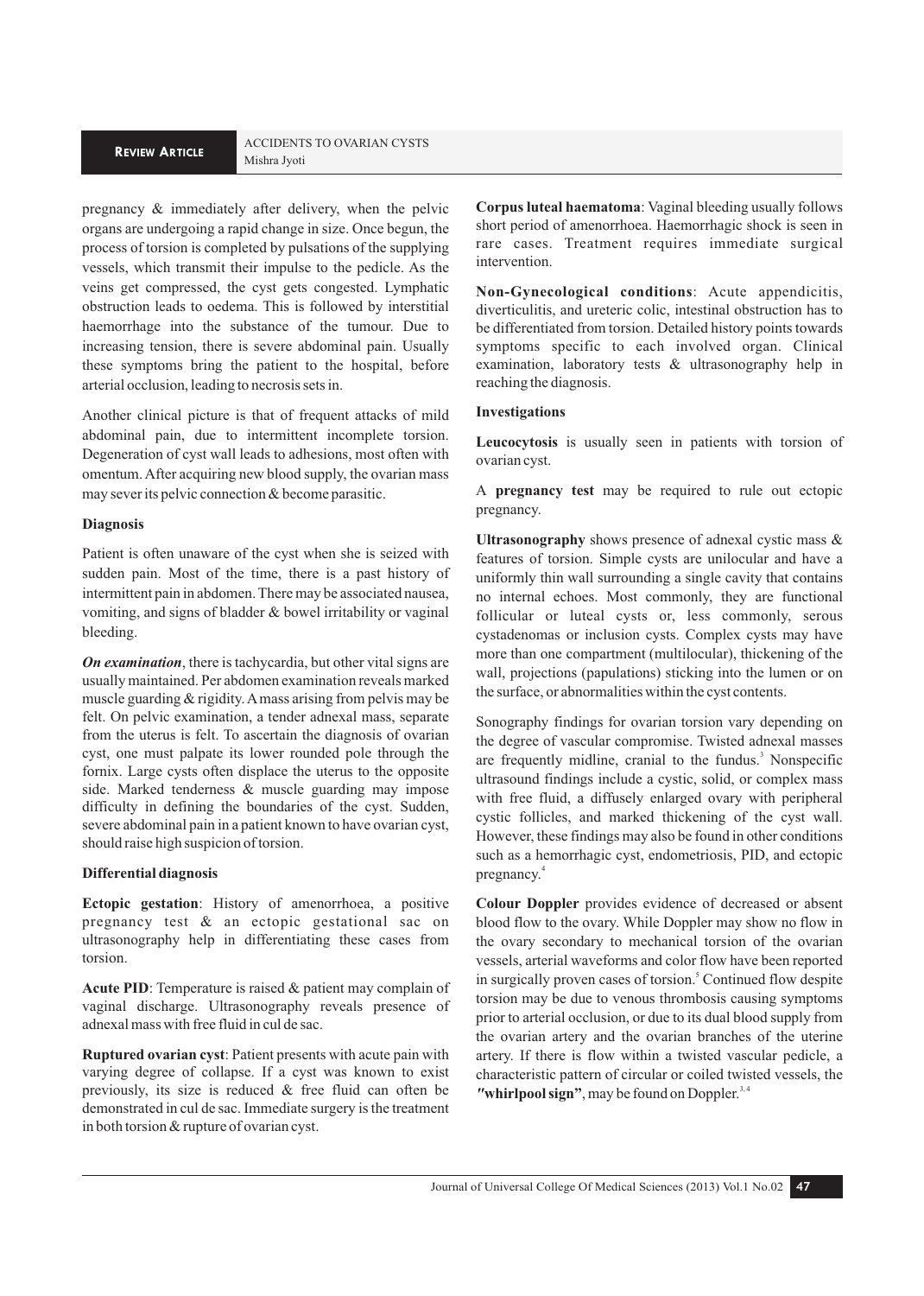# **REVIEW ARTICLE** Mishra Jyoti

pregnancy & immediately after delivery, when the pelvic organs are undergoing a rapid change in size. Once begun, the process of torsion is completed by pulsations of the supplying vessels, which transmit their impulse to the pedicle. As the veins get compressed, the cyst gets congested. Lymphatic obstruction leads to oedema. This is followed by interstitial haemorrhage into the substance of the tumour. Due to increasing tension, there is severe abdominal pain. Usually these symptoms bring the patient to the hospital, before arterial occlusion, leading to necrosis sets in.

Another clinical picture is that of frequent attacks of mild abdominal pain, due to intermittent incomplete torsion. Degeneration of cyst wall leads to adhesions, most often with omentum. After acquiring new blood supply, the ovarian mass may sever its pelvic connection & become parasitic.

## **Diagnosis**

Patient is often unaware of the cyst when she is seized with sudden pain. Most of the time, there is a past history of intermittent pain in abdomen. There may be associated nausea, vomiting, and signs of bladder & bowel irritability or vaginal bleeding.

*On examination*, there is tachycardia, but other vital signs are usually maintained. Per abdomen examination reveals marked muscle guarding & rigidity. A mass arising from pelvis may be felt. On pelvic examination, a tender adnexal mass, separate from the uterus is felt. To ascertain the diagnosis of ovarian cyst, one must palpate its lower rounded pole through the fornix. Large cysts often displace the uterus to the opposite side. Marked tenderness & muscle guarding may impose difficulty in defining the boundaries of the cyst. Sudden, severe abdominal pain in a patient known to have ovarian cyst, should raise high suspicion of torsion.

## **Differential diagnosis**

**Ectopic gestation**: History of amenorrhoea, a positive pregnancy test & an ectopic gestational sac on ultrasonography help in differentiating these cases from torsion.

**Acute PID**: Temperature is raised & patient may complain of vaginal discharge. Ultrasonography reveals presence of adnexal mass with free fluid in cul de sac.

**Ruptured ovarian cyst**: Patient presents with acute pain with varying degree of collapse. If a cyst was known to exist previously, its size is reduced & free fluid can often be demonstrated in cul de sac. Immediate surgery is the treatment in both torsion & rupture of ovarian cyst.

**Corpus luteal haematoma**: Vaginal bleeding usually follows short period of amenorrhoea. Haemorrhagic shock is seen in rare cases. Treatment requires immediate surgical intervention.

**Non-Gynecological conditions**: Acute appendicitis, diverticulitis, and ureteric colic, intestinal obstruction has to be differentiated from torsion. Detailed history points towards symptoms specific to each involved organ. Clinical examination, laboratory tests & ultrasonography help in reaching the diagnosis.

#### **Investigations**

**Leucocytosis** is usually seen in patients with torsion of ovarian cyst.

A **pregnancy test** may be required to rule out ectopic pregnancy.

**Ultrasonography** shows presence of adnexal cystic mass & features of torsion. Simple cysts are unilocular and have a uniformly thin wall surrounding a single cavity that contains no internal echoes. Most commonly, they are functional follicular or luteal cysts or, less commonly, serous cystadenomas or inclusion cysts. Complex cysts may have more than one compartment (multilocular), thickening of the wall, projections (papulations) sticking into the lumen or on the surface, or abnormalities within the cyst contents.

Sonography findings for ovarian torsion vary depending on the degree of vascular compromise. Twisted adnexal masses are frequently midline, cranial to the fundus.<sup>3</sup> Nonspecific ultrasound findings include a cystic, solid, or complex mass with free fluid, a diffusely enlarged ovary with peripheral cystic follicles, and marked thickening of the cyst wall. However, these findings may also be found in other conditions such as a hemorrhagic cyst, endometriosis, PID, and ectopic pregnancy.<sup>4</sup>

**Colour Doppler** provides evidence of decreased or absent blood flow to the ovary. While Doppler may show no flow in the ovary secondary to mechanical torsion of the ovarian vessels, arterial waveforms and color flow have been reported in surgically proven cases of torsion.<sup>5</sup> Continued flow despite torsion may be due to venous thrombosis causing symptoms prior to arterial occlusion, or due to its dual blood supply from the ovarian artery and the ovarian branches of the uterine artery. If there is flow within a twisted vascular pedicle, a characteristic pattern of circular or coiled twisted vessels, the **"whirlpool sign"**, may be found on Doppler.<sup>3,4</sup>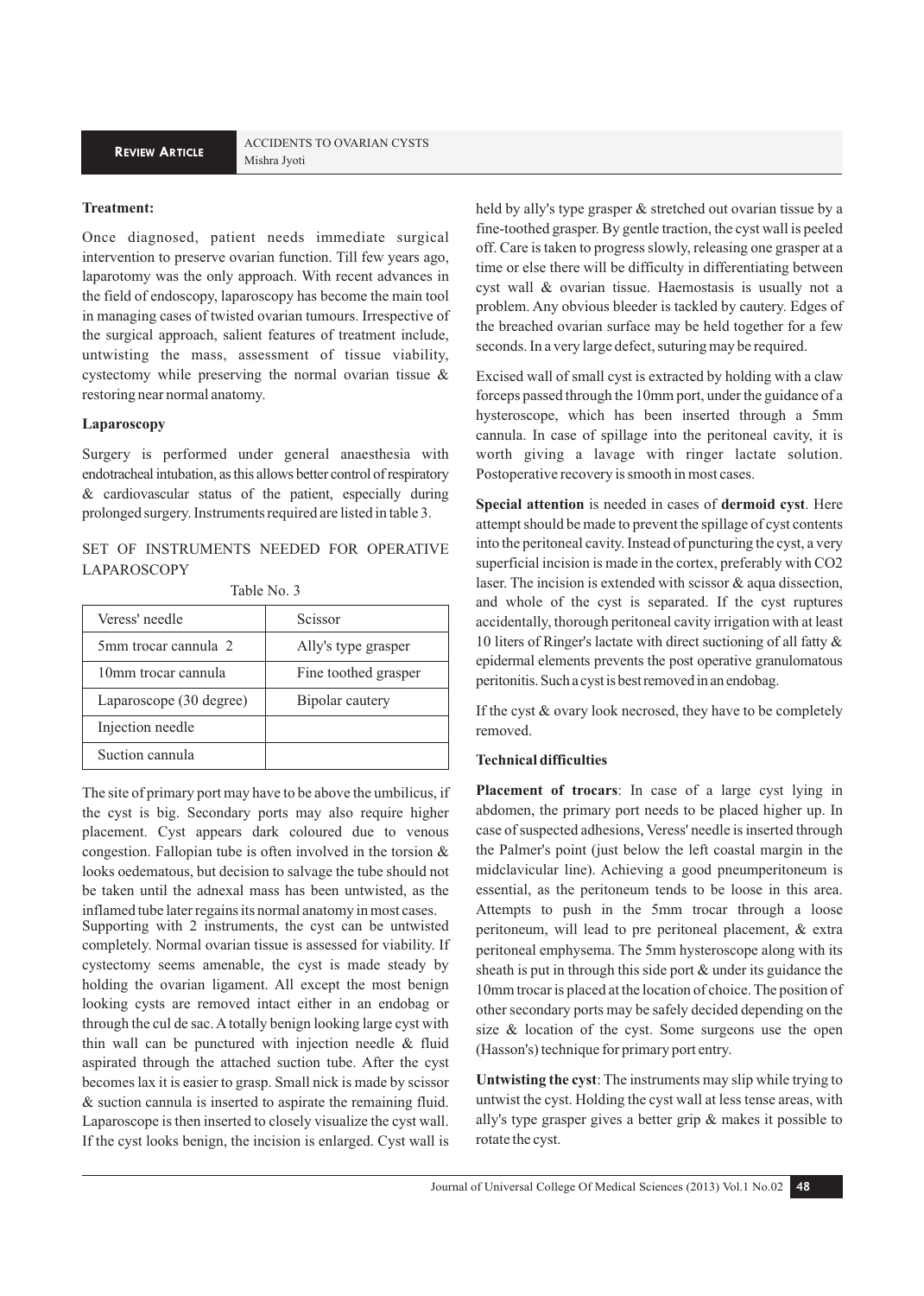## **Treatment:**

Once diagnosed, patient needs immediate surgical intervention to preserve ovarian function. Till few years ago, laparotomy was the only approach. With recent advances in the field of endoscopy, laparoscopy has become the main tool in managing cases of twisted ovarian tumours. Irrespective of the surgical approach, salient features of treatment include, untwisting the mass, assessment of tissue viability, cystectomy while preserving the normal ovarian tissue & restoring near normal anatomy.

## **Laparoscopy**

Surgery is performed under general anaesthesia with endotracheal intubation, as this allows better control of respiratory & cardiovascular status of the patient, especially during prolonged surgery. Instruments required are listed in table 3.

## SET OF INSTRUMENTS NEEDED FOR OPERATIVE LAPAROSCOPY

|  |  |  | Table No. 3 |  |
|--|--|--|-------------|--|
|--|--|--|-------------|--|

| Veress' needle          | Scissor              |
|-------------------------|----------------------|
| 5mm trocar cannula 2    | Ally's type grasper  |
| 10mm trocar cannula     | Fine toothed grasper |
| Laparoscope (30 degree) | Bipolar cautery      |
| Injection needle        |                      |
| Suction cannula         |                      |

The site of primary port may have to be above the umbilicus, if the cyst is big. Secondary ports may also require higher placement. Cyst appears dark coloured due to venous congestion. Fallopian tube is often involved in the torsion & looks oedematous, but decision to salvage the tube should not be taken until the adnexal mass has been untwisted, as the inflamed tube later regains its normal anatomy in most cases. Supporting with 2 instruments, the cyst can be untwisted completely. Normal ovarian tissue is assessed for viability. If cystectomy seems amenable, the cyst is made steady by holding the ovarian ligament. All except the most benign looking cysts are removed intact either in an endobag or through the cul de sac. A totally benign looking large cyst with thin wall can be punctured with injection needle & fluid aspirated through the attached suction tube. After the cyst becomes lax it is easier to grasp. Small nick is made by scissor & suction cannula is inserted to aspirate the remaining fluid.

Laparoscope is then inserted to closely visualize the cyst wall. If the cyst looks benign, the incision is enlarged. Cyst wall is held by ally's type grasper & stretched out ovarian tissue by a fine-toothed grasper. By gentle traction, the cyst wall is peeled off. Care is taken to progress slowly, releasing one grasper at a time or else there will be difficulty in differentiating between cyst wall & ovarian tissue. Haemostasis is usually not a problem. Any obvious bleeder is tackled by cautery. Edges of the breached ovarian surface may be held together for a few

seconds. In a very large defect, suturing may be required.

Excised wall of small cyst is extracted by holding with a claw forceps passed through the 10mm port, under the guidance of a hysteroscope, which has been inserted through a 5mm cannula. In case of spillage into the peritoneal cavity, it is worth giving a lavage with ringer lactate solution. Postoperative recovery is smooth in most cases.

**Special attention** is needed in cases of **dermoid cyst**. Here attempt should be made to prevent the spillage of cyst contents into the peritoneal cavity. Instead of puncturing the cyst, a very superficial incision is made in the cortex, preferably with CO2 laser. The incision is extended with scissor & aqua dissection, and whole of the cyst is separated. If the cyst ruptures accidentally, thorough peritoneal cavity irrigation with at least 10 liters of Ringer's lactate with direct suctioning of all fatty & epidermal elements prevents the post operative granulomatous peritonitis. Such a cyst is best removed in an endobag.

If the cyst & ovary look necrosed, they have to be completely removed.

#### **Technical difficulties**

**Placement of trocars**: In case of a large cyst lying in abdomen, the primary port needs to be placed higher up. In case of suspected adhesions, Veress' needle is inserted through the Palmer's point (just below the left coastal margin in the midclavicular line). Achieving a good pneumperitoneum is essential, as the peritoneum tends to be loose in this area. Attempts to push in the 5mm trocar through a loose peritoneum, will lead to pre peritoneal placement, & extra peritoneal emphysema. The 5mm hysteroscope along with its sheath is put in through this side port & under its guidance the 10mm trocar is placed at the location of choice. The position of other secondary ports may be safely decided depending on the size & location of the cyst. Some surgeons use the open (Hasson's) technique for primary port entry.

**Untwisting the cyst**: The instruments may slip while trying to untwist the cyst. Holding the cyst wall at less tense areas, with ally's type grasper gives a better grip & makes it possible to rotate the cyst.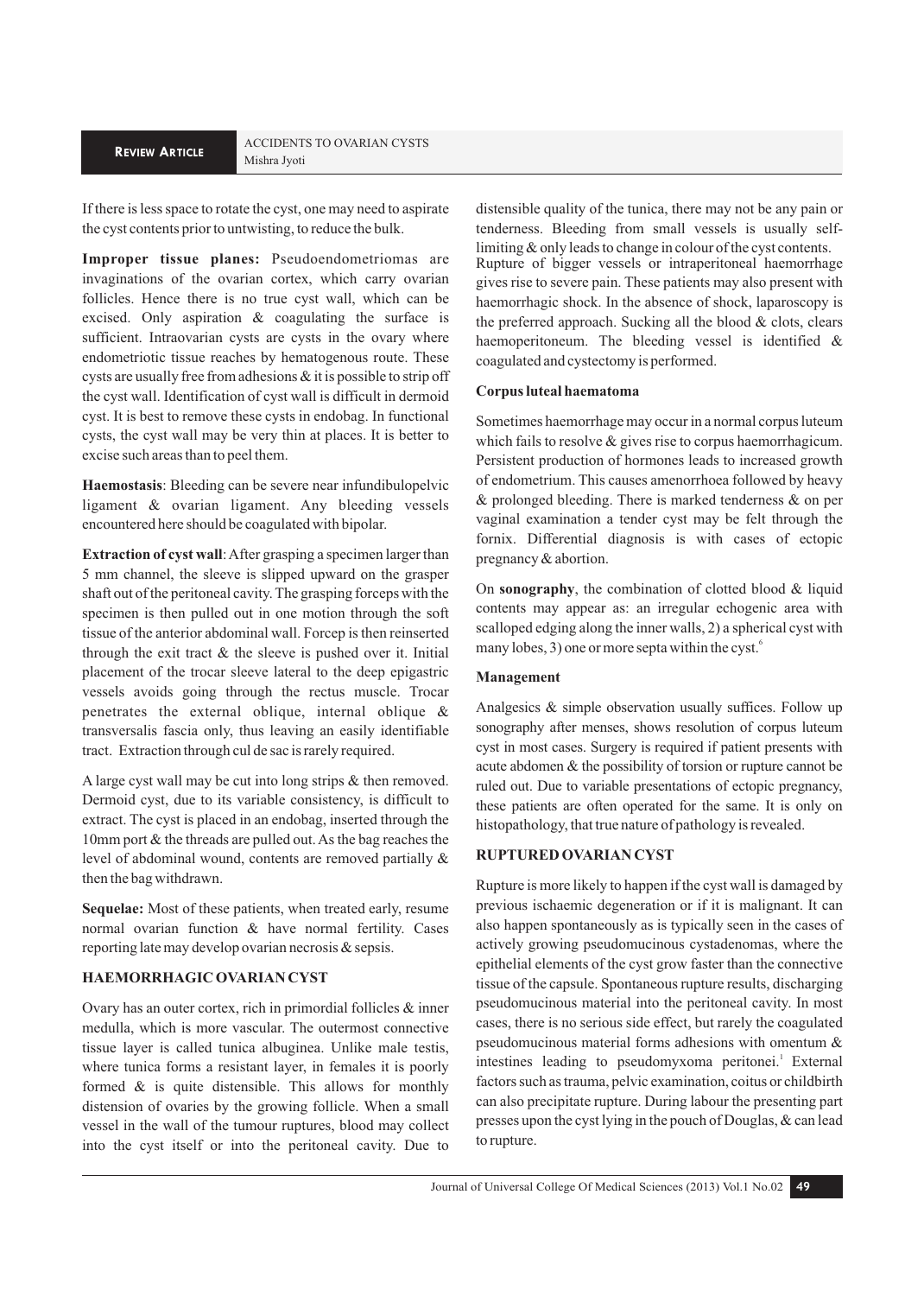If there is less space to rotate the cyst, one may need to aspirate the cyst contents prior to untwisting, to reduce the bulk.

**Improper tissue planes:** Pseudoendometriomas are invaginations of the ovarian cortex, which carry ovarian follicles. Hence there is no true cyst wall, which can be excised. Only aspiration & coagulating the surface is sufficient. Intraovarian cysts are cysts in the ovary where endometriotic tissue reaches by hematogenous route. These cysts are usually free from adhesions & it is possible to strip off the cyst wall. Identification of cyst wall is difficult in dermoid cyst. It is best to remove these cysts in endobag. In functional cysts, the cyst wall may be very thin at places. It is better to excise such areas than to peel them.

**Haemostasis**: Bleeding can be severe near infundibulopelvic ligament & ovarian ligament. Any bleeding vessels encountered here should be coagulated with bipolar.

**Extraction of cyst wall**: After grasping a specimen larger than 5 mm channel, the sleeve is slipped upward on the grasper shaft out of the peritoneal cavity. The grasping forceps with the specimen is then pulled out in one motion through the soft tissue of the anterior abdominal wall. Forcep is then reinserted through the exit tract  $&$  the sleeve is pushed over it. Initial placement of the trocar sleeve lateral to the deep epigastric vessels avoids going through the rectus muscle. Trocar penetrates the external oblique, internal oblique & transversalis fascia only, thus leaving an easily identifiable tract. Extraction through cul de sac is rarely required.

A large cyst wall may be cut into long strips & then removed. Dermoid cyst, due to its variable consistency, is difficult to extract. The cyst is placed in an endobag, inserted through the 10mm port & the threads are pulled out. As the bag reaches the level of abdominal wound, contents are removed partially & then the bag withdrawn.

**Sequelae:** Most of these patients, when treated early, resume normal ovarian function & have normal fertility. Cases reporting late may develop ovarian necrosis & sepsis.

## **HAEMORRHAGIC OVARIAN CYST**

Ovary has an outer cortex, rich in primordial follicles & inner medulla, which is more vascular. The outermost connective tissue layer is called tunica albuginea. Unlike male testis, where tunica forms a resistant layer, in females it is poorly formed & is quite distensible. This allows for monthly distension of ovaries by the growing follicle. When a small vessel in the wall of the tumour ruptures, blood may collect into the cyst itself or into the peritoneal cavity. Due to

distensible quality of the tunica, there may not be any pain or tenderness. Bleeding from small vessels is usually selflimiting & only leads to change in colour of the cyst contents. Rupture of bigger vessels or intraperitoneal haemorrhage

gives rise to severe pain. These patients may also present with haemorrhagic shock. In the absence of shock, laparoscopy is the preferred approach. Sucking all the blood & clots, clears haemoperitoneum. The bleeding vessel is identified & coagulated and cystectomy is performed.

#### **Corpus luteal haematoma**

Sometimes haemorrhage may occur in a normal corpus luteum which fails to resolve & gives rise to corpus haemorrhagicum. Persistent production of hormones leads to increased growth of endometrium. This causes amenorrhoea followed by heavy & prolonged bleeding. There is marked tenderness & on per vaginal examination a tender cyst may be felt through the fornix. Differential diagnosis is with cases of ectopic pregnancy & abortion.

On **sonography**, the combination of clotted blood & liquid contents may appear as: an irregular echogenic area with scalloped edging along the inner walls, 2) a spherical cyst with many lobes, 3) one or more septa within the cyst.

## **Management**

Analgesics & simple observation usually suffices. Follow up sonography after menses, shows resolution of corpus luteum cyst in most cases. Surgery is required if patient presents with acute abdomen & the possibility of torsion or rupture cannot be ruled out. Due to variable presentations of ectopic pregnancy, these patients are often operated for the same. It is only on histopathology, that true nature of pathology is revealed.

## **RUPTURED OVARIAN CYST**

Rupture is more likely to happen if the cyst wall is damaged by previous ischaemic degeneration or if it is malignant. It can also happen spontaneously as is typically seen in the cases of actively growing pseudomucinous cystadenomas, where the epithelial elements of the cyst grow faster than the connective tissue of the capsule. Spontaneous rupture results, discharging pseudomucinous material into the peritoneal cavity. In most cases, there is no serious side effect, but rarely the coagulated pseudomucinous material forms adhesions with omentum & intestines leading to pseudomyxoma peritonei.<sup>1</sup> External factors such as trauma, pelvic examination, coitus or childbirth can also precipitate rupture. During labour the presenting part presses upon the cyst lying in the pouch of Douglas, & can lead to rupture.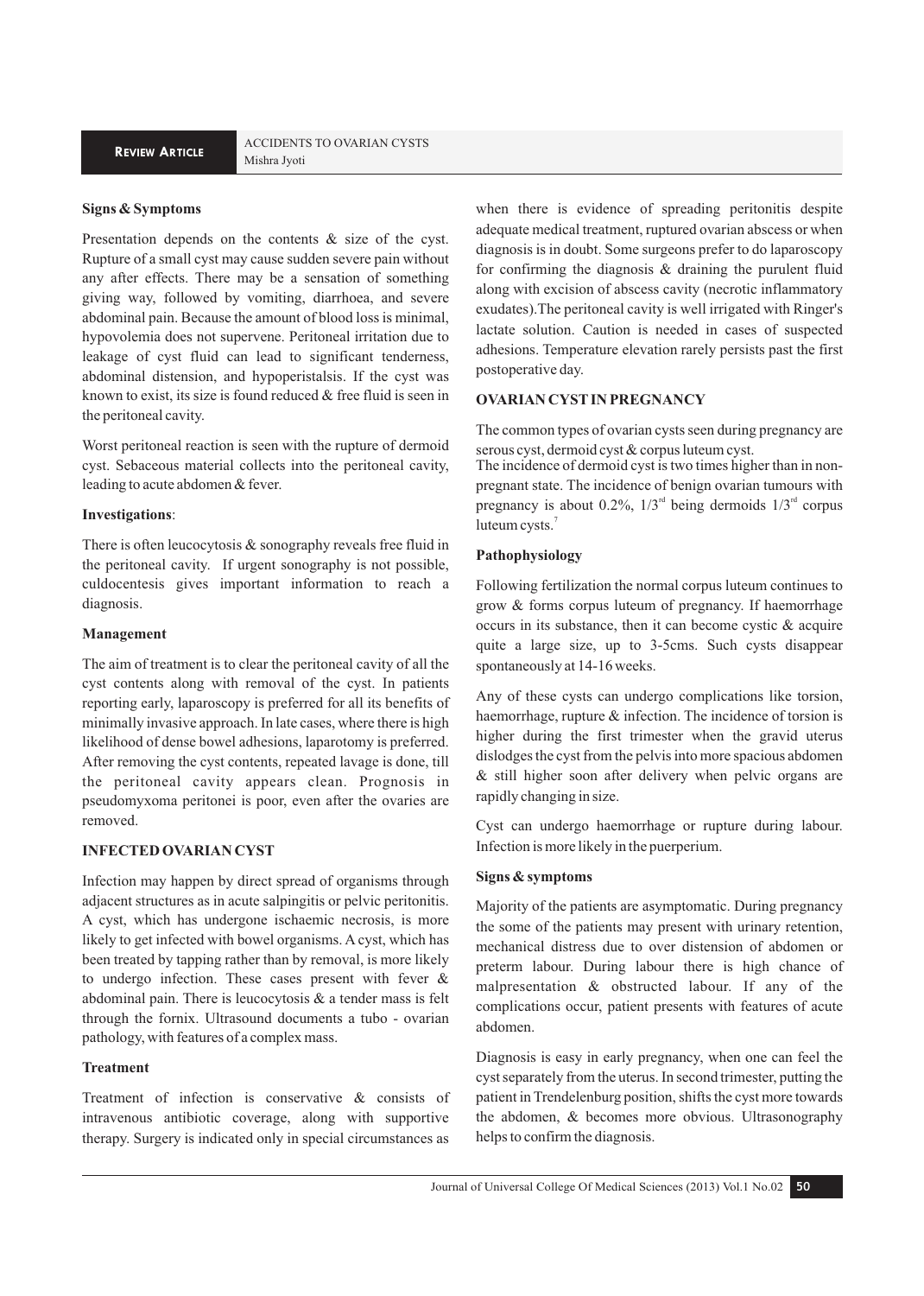## **Signs & Symptoms**

Presentation depends on the contents & size of the cyst. Rupture of a small cyst may cause sudden severe pain without any after effects. There may be a sensation of something giving way, followed by vomiting, diarrhoea, and severe abdominal pain. Because the amount of blood loss is minimal, hypovolemia does not supervene. Peritoneal irritation due to leakage of cyst fluid can lead to significant tenderness, abdominal distension, and hypoperistalsis. If the cyst was known to exist, its size is found reduced & free fluid is seen in the peritoneal cavity.

Worst peritoneal reaction is seen with the rupture of dermoid cyst. Sebaceous material collects into the peritoneal cavity, leading to acute abdomen & fever.

#### **Investigations**:

There is often leucocytosis & sonography reveals free fluid in the peritoneal cavity. If urgent sonography is not possible, culdocentesis gives important information to reach a diagnosis.

#### **Management**

The aim of treatment is to clear the peritoneal cavity of all the cyst contents along with removal of the cyst. In patients reporting early, laparoscopy is preferred for all its benefits of minimally invasive approach. In late cases, where there is high likelihood of dense bowel adhesions, laparotomy is preferred. After removing the cyst contents, repeated lavage is done, till the peritoneal cavity appears clean. Prognosis in pseudomyxoma peritonei is poor, even after the ovaries are removed.

## **INFECTED OVARIAN CYST**

Infection may happen by direct spread of organisms through adjacent structures as in acute salpingitis or pelvic peritonitis. A cyst, which has undergone ischaemic necrosis, is more likely to get infected with bowel organisms. A cyst, which has been treated by tapping rather than by removal, is more likely to undergo infection. These cases present with fever & abdominal pain. There is leucocytosis & a tender mass is felt through the fornix. Ultrasound documents a tubo - ovarian pathology, with features of a complex mass.

## **Treatment**

Treatment of infection is conservative & consists of intravenous antibiotic coverage, along with supportive therapy. Surgery is indicated only in special circumstances as

when there is evidence of spreading peritonitis despite adequate medical treatment, ruptured ovarian abscess or when diagnosis is in doubt. Some surgeons prefer to do laparoscopy for confirming the diagnosis  $\&$  draining the purulent fluid along with excision of abscess cavity (necrotic inflammatory exudates).The peritoneal cavity is well irrigated with Ringer's lactate solution. Caution is needed in cases of suspected adhesions. Temperature elevation rarely persists past the first postoperative day.

## **OVARIAN CYST IN PREGNANCY**

The common types of ovarian cysts seen during pregnancy are serous cyst, dermoid cyst & corpus luteum cyst.

The incidence of dermoid cyst is two times higher than in nonpregnant state. The incidence of benign ovarian tumours with pregnancy is about 0.2%,  $1/3^{rd}$  being dermoids  $1/3^{rd}$  corpus luteum cysts.<sup>7</sup>

#### **Pathophysiology**

Following fertilization the normal corpus luteum continues to grow & forms corpus luteum of pregnancy. If haemorrhage occurs in its substance, then it can become cystic & acquire quite a large size, up to 3-5cms. Such cysts disappear spontaneously at 14-16 weeks.

Any of these cysts can undergo complications like torsion, haemorrhage, rupture & infection. The incidence of torsion is higher during the first trimester when the gravid uterus dislodges the cyst from the pelvis into more spacious abdomen & still higher soon after delivery when pelvic organs are rapidly changing in size.

Cyst can undergo haemorrhage or rupture during labour. Infection is more likely in the puerperium.

## **Signs & symptoms**

Majority of the patients are asymptomatic. During pregnancy the some of the patients may present with urinary retention, mechanical distress due to over distension of abdomen or preterm labour. During labour there is high chance of malpresentation & obstructed labour. If any of the complications occur, patient presents with features of acute abdomen.

Diagnosis is easy in early pregnancy, when one can feel the cyst separately from the uterus. In second trimester, putting the patient in Trendelenburg position, shifts the cyst more towards the abdomen, & becomes more obvious. Ultrasonography helps to confirm the diagnosis.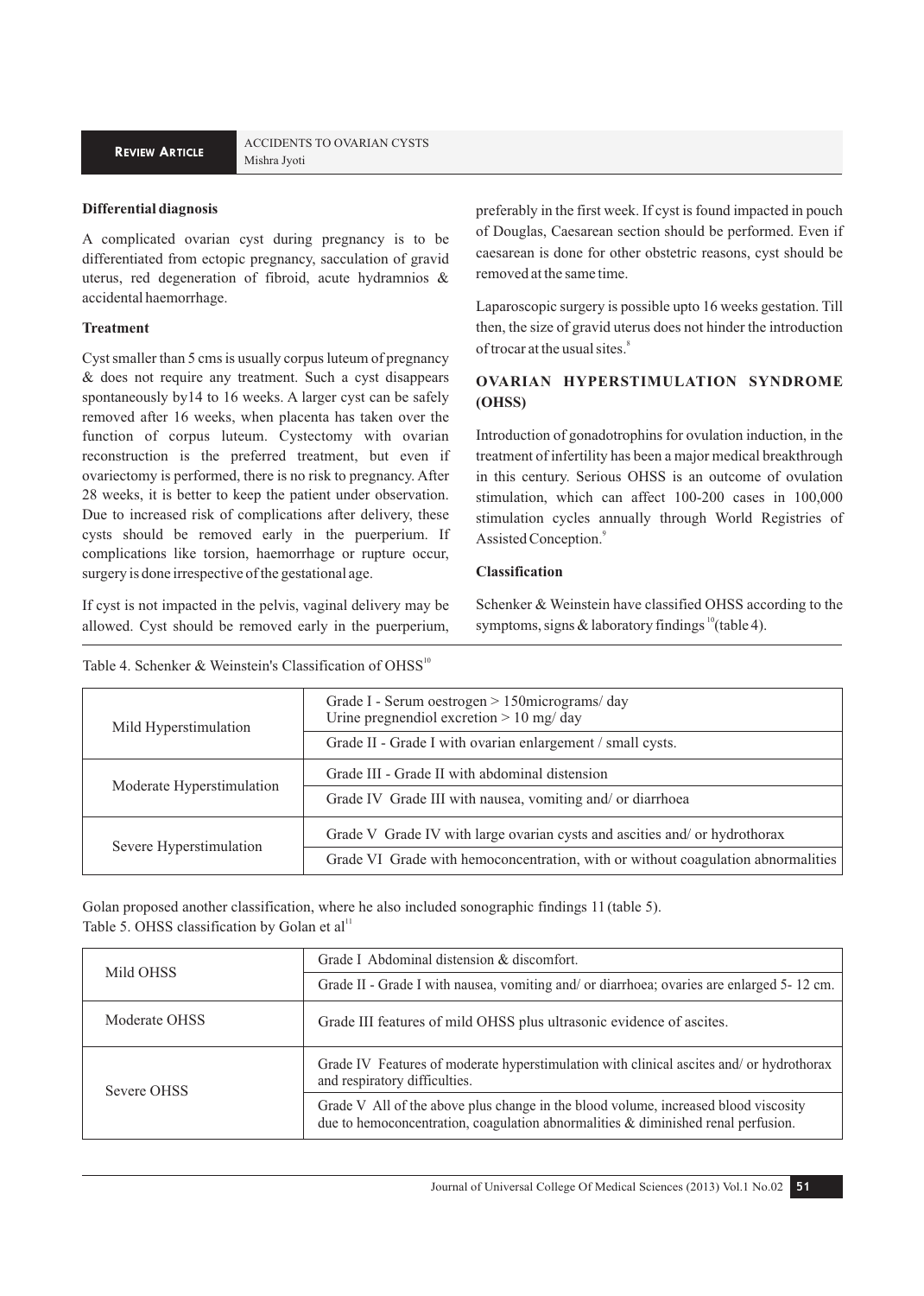## **Differential diagnosis**

A complicated ovarian cyst during pregnancy is to be differentiated from ectopic pregnancy, sacculation of gravid uterus, red degeneration of fibroid, acute hydramnios & accidental haemorrhage.

## **Treatment**

Cyst smaller than 5 cms is usually corpus luteum of pregnancy & does not require any treatment. Such a cyst disappears spontaneously by14 to 16 weeks. A larger cyst can be safely removed after 16 weeks, when placenta has taken over the function of corpus luteum. Cystectomy with ovarian reconstruction is the preferred treatment, but even if ovariectomy is performed, there is no risk to pregnancy. After 28 weeks, it is better to keep the patient under observation. Due to increased risk of complications after delivery, these cysts should be removed early in the puerperium. If complications like torsion, haemorrhage or rupture occur, surgery is done irrespective of the gestational age.

If cyst is not impacted in the pelvis, vaginal delivery may be allowed. Cyst should be removed early in the puerperium,

preferably in the first week. If cyst is found impacted in pouch of Douglas, Caesarean section should be performed. Even if caesarean is done for other obstetric reasons, cyst should be removed at the same time.

Laparoscopic surgery is possible upto 16 weeks gestation. Till then, the size of gravid uterus does not hinder the introduction of trocar at the usual sites.<sup>8</sup>

## **OVARIAN HYPERSTIMULATION SYNDROME (OHSS)**

Introduction of gonadotrophins for ovulation induction, in the treatment of infertility has been a major medical breakthrough in this century. Serious OHSS is an outcome of ovulation stimulation, which can affect 100-200 cases in 100,000 stimulation cycles annually through World Registries of Assisted Conception.<sup>9</sup>

## **Classification**

Schenker & Weinstein have classified OHSS according to the symptoms, signs & laboratory findings  $^{10}$  (table 4).

| Mild Hyperstimulation     | Grade I - Serum oestrogen $> 150$ micrograms/day<br>Urine pregnendiol excretion $> 10$ mg/ day |
|---------------------------|------------------------------------------------------------------------------------------------|
|                           | Grade II - Grade I with ovarian enlargement / small cysts.                                     |
| Moderate Hyperstimulation | Grade III - Grade II with abdominal distension                                                 |
|                           | Grade IV Grade III with nausea, vomiting and/ or diarrhoea                                     |
| Severe Hyperstimulation   | Grade V Grade IV with large ovarian cysts and ascities and/ or hydrothorax                     |
|                           | Grade VI Grade with hemoconcentration, with or without coagulation abnormalities               |

Table 4. Schenker & Weinstein's Classification of OHSS<sup>10</sup>

Golan proposed another classification, where he also included sonographic findings 11 (table 5). Table 5. OHSS classification by Golan et  $al<sup>11</sup>$ 

| Mild OHSS     | Grade I Abdominal distension & discomfort.                                                                                                                               |  |
|---------------|--------------------------------------------------------------------------------------------------------------------------------------------------------------------------|--|
|               | Grade II - Grade I with nausea, vomiting and/ or diarrhoea; ovaries are enlarged 5-12 cm.                                                                                |  |
| Moderate OHSS | Grade III features of mild OHSS plus ultrasonic evidence of ascites.                                                                                                     |  |
| Severe OHSS   | Grade IV Features of moderate hyperstimulation with clinical ascites and/ or hydrothorax<br>and respiratory difficulties.                                                |  |
|               | Grade V All of the above plus change in the blood volume, increased blood viscosity<br>due to hemoconcentration, coagulation abnormalities & diminished renal perfusion. |  |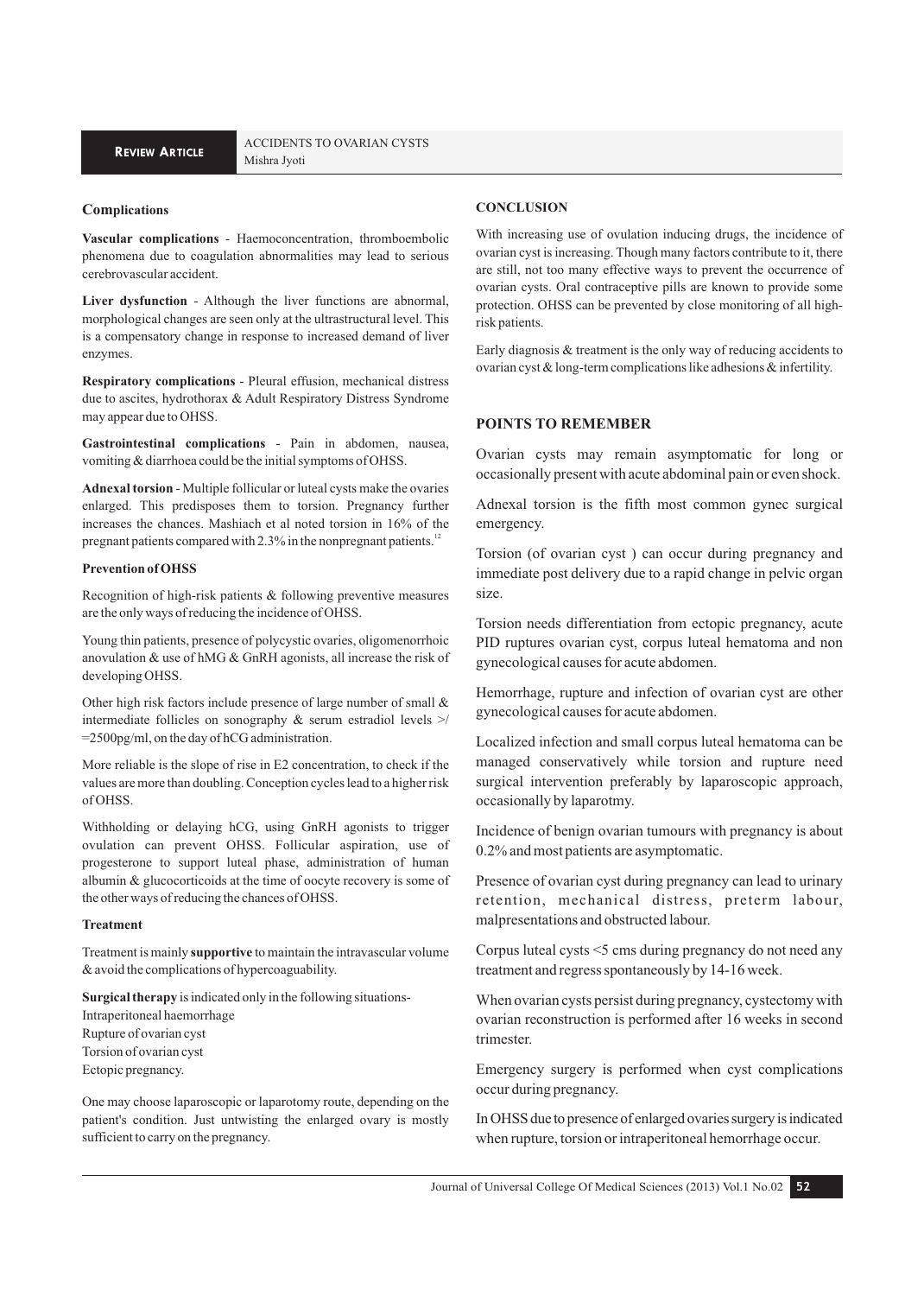#### **Complications**

**Vascular complications** - Haemoconcentration, thromboembolic phenomena due to coagulation abnormalities may lead to serious cerebrovascular accident.

**Liver dysfunction** - Although the liver functions are abnormal, morphological changes are seen only at the ultrastructural level. This is a compensatory change in response to increased demand of liver enzymes.

**Respiratory complications** - Pleural effusion, mechanical distress due to ascites, hydrothorax & Adult Respiratory Distress Syndrome may appear due to OHSS.

**Gastrointestinal complications** - Pain in abdomen, nausea, vomiting & diarrhoea could be the initial symptoms of OHSS.

**Adnexal torsion** - Multiple follicular or luteal cysts make the ovaries enlarged. This predisposes them to torsion. Pregnancy further increases the chances. Mashiach et al noted torsion in 16% of the pregnant patients compared with 2.3% in the nonpregnant patients.<sup>12</sup>

## **Prevention of OHSS**

Recognition of high-risk patients & following preventive measures are the only ways of reducing the incidence of OHSS.

Young thin patients, presence of polycystic ovaries, oligomenorrhoic anovulation & use of hMG & GnRH agonists, all increase the risk of developing OHSS.

Other high risk factors include presence of large number of small & intermediate follicles on sonography & serum estradiol levels >/ =2500pg/ml, on the day of hCG administration.

More reliable is the slope of rise in E2 concentration, to check if the values are more than doubling. Conception cycles lead to a higher risk of OHSS.

Withholding or delaying hCG, using GnRH agonists to trigger ovulation can prevent OHSS. Follicular aspiration, use of progesterone to support luteal phase, administration of human albumin & glucocorticoids at the time of oocyte recovery is some of the other ways of reducing the chances of OHSS.

#### **Treatment**

Treatment is mainly **supportive** to maintain the intravascular volume & avoid the complications of hypercoaguability.

**Surgical therapy** is indicated only in the following situations-Intraperitoneal haemorrhage Rupture of ovarian cyst Torsion of ovarian cyst Ectopic pregnancy.

One may choose laparoscopic or laparotomy route, depending on the patient's condition. Just untwisting the enlarged ovary is mostly sufficient to carry on the pregnancy.

#### **CONCLUSION**

With increasing use of ovulation inducing drugs, the incidence of ovarian cyst is increasing. Though many factors contribute to it, there are still, not too many effective ways to prevent the occurrence of ovarian cysts. Oral contraceptive pills are known to provide some protection. OHSS can be prevented by close monitoring of all highrisk patients.

Early diagnosis & treatment is the only way of reducing accidents to ovarian cyst & long-term complications like adhesions & infertility.

## **POINTS TO REMEMBER**

Ovarian cysts may remain asymptomatic for long or occasionally present with acute abdominal pain or even shock.

Adnexal torsion is the fifth most common gynec surgical emergency.

Torsion (of ovarian cyst ) can occur during pregnancy and immediate post delivery due to a rapid change in pelvic organ size.

Torsion needs differentiation from ectopic pregnancy, acute PID ruptures ovarian cyst, corpus luteal hematoma and non gynecological causes for acute abdomen.

Hemorrhage, rupture and infection of ovarian cyst are other gynecological causes for acute abdomen.

Localized infection and small corpus luteal hematoma can be managed conservatively while torsion and rupture need surgical intervention preferably by laparoscopic approach, occasionally by laparotmy.

Incidence of benign ovarian tumours with pregnancy is about 0.2% and most patients are asymptomatic.

Presence of ovarian cyst during pregnancy can lead to urinary retention, mechanical distress, preterm labour, malpresentations and obstructed labour.

Corpus luteal cysts <5 cms during pregnancy do not need any treatment and regress spontaneously by 14-16 week.

When ovarian cysts persist during pregnancy, cystectomy with ovarian reconstruction is performed after 16 weeks in second trimester.

Emergency surgery is performed when cyst complications occur during pregnancy.

In OHSS due to presence of enlarged ovaries surgery is indicated when rupture, torsion or intraperitoneal hemorrhage occur.